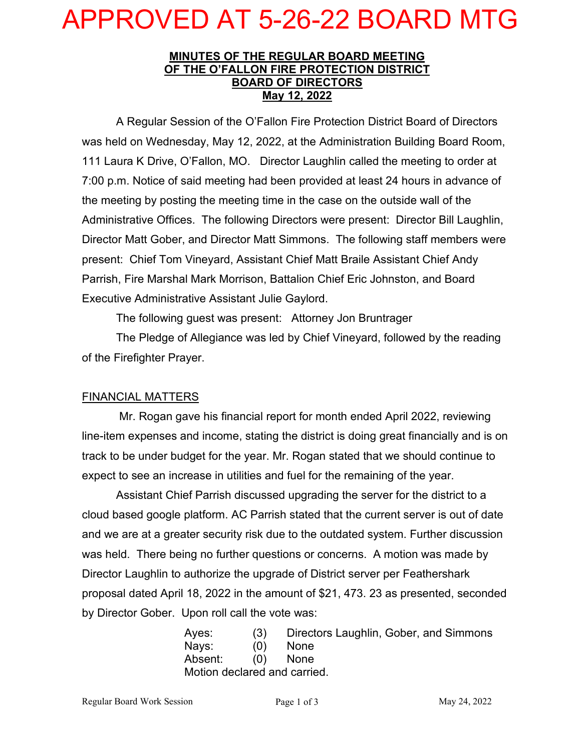## APPROVED AT 5-26-22 BOARD MTG

#### **MINUTES OF THE REGULAR BOARD MEETING OF THE O'FALLON FIRE PROTECTION DISTRICT BOARD OF DIRECTORS May 12, 2022**

A Regular Session of the O'Fallon Fire Protection District Board of Directors was held on Wednesday, May 12, 2022, at the Administration Building Board Room, 111 Laura K Drive, O'Fallon, MO. Director Laughlin called the meeting to order at 7:00 p.m. Notice of said meeting had been provided at least 24 hours in advance of the meeting by posting the meeting time in the case on the outside wall of the Administrative Offices. The following Directors were present: Director Bill Laughlin, Director Matt Gober, and Director Matt Simmons. The following staff members were present: Chief Tom Vineyard, Assistant Chief Matt Braile Assistant Chief Andy Parrish, Fire Marshal Mark Morrison, Battalion Chief Eric Johnston, and Board Executive Administrative Assistant Julie Gaylord.

The following guest was present: Attorney Jon Bruntrager

The Pledge of Allegiance was led by Chief Vineyard, followed by the reading of the Firefighter Prayer.

#### FINANCIAL MATTERS

Mr. Rogan gave his financial report for month ended April 2022, reviewing line-item expenses and income, stating the district is doing great financially and is on track to be under budget for the year. Mr. Rogan stated that we should continue to expect to see an increase in utilities and fuel for the remaining of the year.

Assistant Chief Parrish discussed upgrading the server for the district to a cloud based google platform. AC Parrish stated that the current server is out of date and we are at a greater security risk due to the outdated system. Further discussion was held. There being no further questions or concerns. A motion was made by Director Laughlin to authorize the upgrade of District server per Feathershark proposal dated April 18, 2022 in the amount of \$21, 473. 23 as presented, seconded by Director Gober. Upon roll call the vote was:

> Ayes: (3) Directors Laughlin, Gober, and Simmons Nays: (0) None Absent: (0) None Motion declared and carried.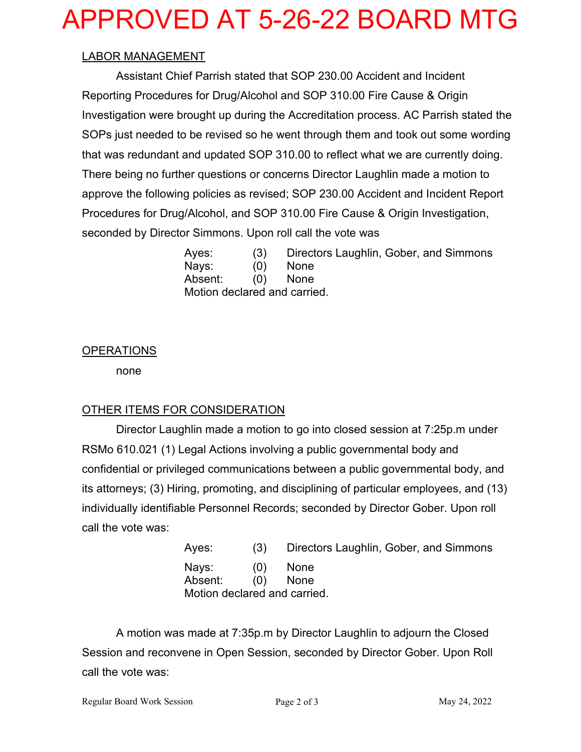# APPROVED AT 5-26-22 BOARD MTG

#### LABOR MANAGEMENT

 Assistant Chief Parrish stated that SOP 230.00 Accident and Incident Reporting Procedures for Drug/Alcohol and SOP 310.00 Fire Cause & Origin Investigation were brought up during the Accreditation process. AC Parrish stated the SOPs just needed to be revised so he went through them and took out some wording that was redundant and updated SOP 310.00 to reflect what we are currently doing. There being no further questions or concerns Director Laughlin made a motion to approve the following policies as revised; SOP 230.00 Accident and Incident Report Procedures for Drug/Alcohol, and SOP 310.00 Fire Cause & Origin Investigation, seconded by Director Simmons. Upon roll call the vote was

> Ayes: (3) Directors Laughlin, Gober, and Simmons Nays: (0) None Absent: (0) None Motion declared and carried.

#### OPERATIONS

none

### OTHER ITEMS FOR CONSIDERATION

Director Laughlin made a motion to go into closed session at 7:25p.m under RSMo 610.021 (1) Legal Actions involving a public governmental body and confidential or privileged communications between a public governmental body, and its attorneys; (3) Hiring, promoting, and disciplining of particular employees, and (13) individually identifiable Personnel Records; seconded by Director Gober. Upon roll call the vote was:

| Aves:                        | (3) | Directors Laughlin, Gober, and Simmons |
|------------------------------|-----|----------------------------------------|
| Nays: (0) None               |     |                                        |
| Absent: (0) None             |     |                                        |
| Motion declared and carried. |     |                                        |

A motion was made at 7:35p.m by Director Laughlin to adjourn the Closed Session and reconvene in Open Session, seconded by Director Gober. Upon Roll call the vote was: